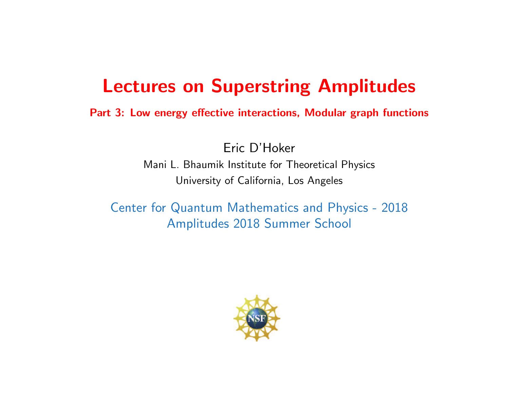# Lectures on Superstring Amplitudes

Part 3: Low energy effective interactions, Modular graph functions

Eric D'Hoker Mani L. Bhaumik Institute for Theoretical Physics University of California, Los Angeles

Center for Quantum Mathematics and Physics - 2018 Amplitudes 2018 Summer School

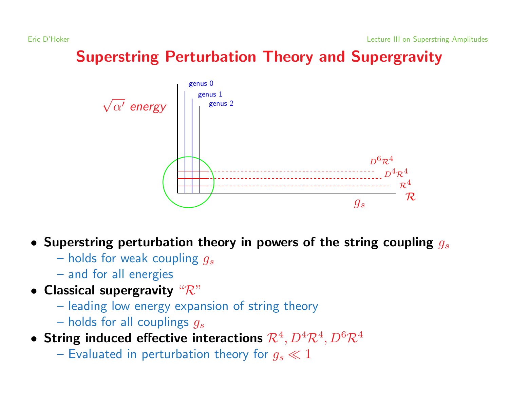# Superstring Perturbation Theory and Supergravity



- Superstring perturbation theory in powers of the string coupling  $g_s$ 
	- holds for weak coupling  $g_s$
	- and for all energies
- Classical supergravity  $\mathscr{R}$ "
	- leading low energy expansion of string theory
	- holds for all couplings  $g_s$
- String induced effective interactions  $\mathcal{R}^4$ ,  $D^4\mathcal{R}^4$ ,  $D^6\mathcal{R}^4$ 
	- Evaluated in perturbation theory for  $g_s \ll 1$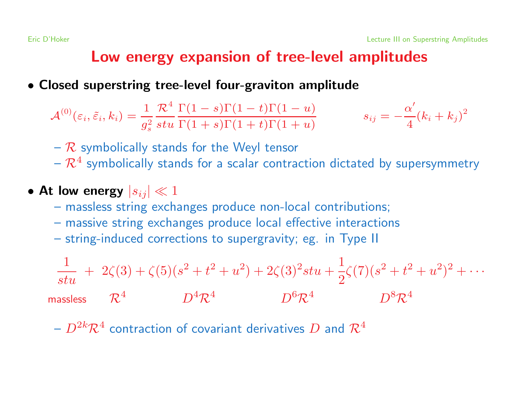### Low energy expansion of tree-level amplitudes

#### • Closed superstring tree-level four-graviton amplitude

$$
\mathcal{A}^{(0)}(\varepsilon_i,\tilde{\varepsilon}_i,k_i)=\frac{1}{g_s^2}\frac{\mathcal{R}^4}{stu}\frac{\Gamma(1-s)\Gamma(1-t)\Gamma(1-u)}{\Gamma(1+s)\Gamma(1+t)\Gamma(1+u)}\hspace{1cm} s_{ij}=-\frac{\alpha'}{4}(k_i+k_j)^2
$$

- $-$  R symbolically stands for the Weyl tensor
- $\mathcal{R}^4$  symbolically stands for a scalar contraction dictated by supersymmetry

### • At low energy  $|s_{ij}| \ll 1$

- massless string exchanges produce non-local contributions;
- massive string exchanges produce local effective interactions
- string-induced corrections to supergravity; eg. in Type II

$$
\frac{1}{stu} + 2\zeta(3) + \zeta(5)(s^2 + t^2 + u^2) + 2\zeta(3)^2stu + \frac{1}{2}\zeta(7)(s^2 + t^2 + u^2)^2 + \cdots
$$
\nmassless

\n
$$
\mathcal{R}^4 \qquad D^4 \mathcal{R}^4 \qquad D^6 \mathcal{R}^4 \qquad D^8 \mathcal{R}^4
$$

 $- D^{2k} \mathcal{R}^4$  contraction of covariant derivatives D and  $\mathcal{R}^4$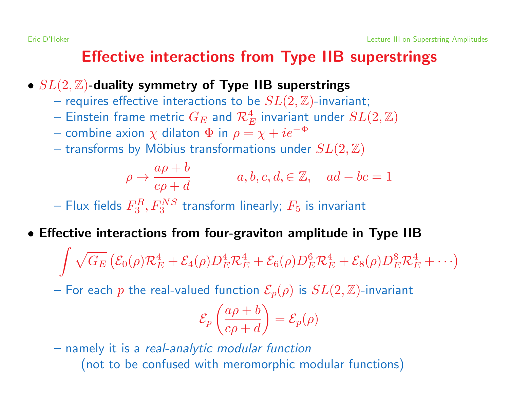## Effective interactions from Type IIB superstrings

- $SL(2, \mathbb{Z})$ -duality symmetry of Type IIB superstrings
	- requires effective interactions to be  $SL(2,\mathbb{Z})$ -invariant;
	- Einstein frame metric  $G_E$  and  $\mathcal{R}_E^4$  invariant under  $SL(2,\mathbb{Z})$
	- combine axion  $\chi$  dilaton  $\Phi$  in  $\rho = \chi + ie^{-\Phi}$
	- transforms by Möbius transformations under  $SL(2,\mathbb{Z})$

$$
\rho \to \frac{a\rho + b}{c\rho + d} \qquad a, b, c, d, \in \mathbb{Z}, \quad ad - bc = 1
$$

– Flux fields  $F_3^R, F_3^{NS}$  transform linearly;  $F_5$  is invariant

• Effective interactions from four-graviton amplitude in Type IIB

 $\int \sqrt{G_E} \left( \mathcal{E}_0(\rho) \mathcal{R}_E^4 + \mathcal{E}_4(\rho) D_E^4 \mathcal{R}_E^4 + \mathcal{E}_6(\rho) D_E^6 \mathcal{R}_E^4 + \mathcal{E}_8(\rho) D_E^8 \mathcal{R}_E^4 + \cdots \right)$ 

– For each p the real-valued function  $\mathcal{E}_p(\rho)$  is  $SL(2,\mathbb{Z})$ -invariant

$$
\mathcal{E}_p\left(\frac{a\rho+b}{c\rho+d}\right) = \mathcal{E}_p(\rho)
$$

– namely it is <sup>a</sup> real-analytic modular function (not to be confused with meromorphic modular functions)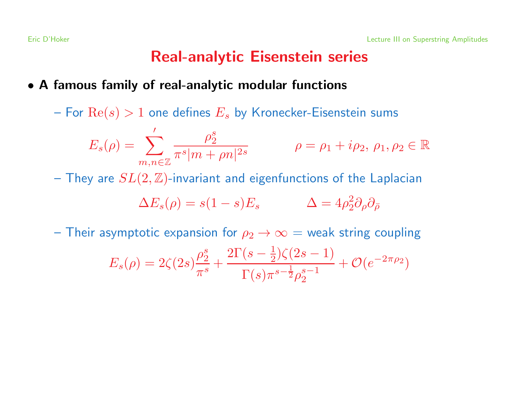## Real-analytic Eisenstein series

#### • A famous family of real-analytic modular functions

– For  $\text{Re}(s) > 1$  one defines  $E_s$  by Kronecker-Eisenstein sums

$$
E_s(\rho) = \sum_{m,n \in \mathbb{Z}}' \frac{\rho_2^s}{\pi^s |m + \rho n|^{2s}} \qquad \rho = \rho_1 + i \rho_2, \ \rho_1, \rho_2 \in \mathbb{R}
$$

– They are  $SL(2,\mathbb{Z})$ -invariant and eigenfunctions of the Laplacian

$$
\Delta E_s(\rho) = s(1 - s)E_s \qquad \Delta = 4\rho_2^2 \partial_\rho \partial_{\bar{\rho}}
$$

– Their asymptotic expansion for  $\rho_2 \rightarrow \infty =$  weak string coupling

$$
E_s(\rho) = 2\zeta(2s)\frac{\rho_2^s}{\pi^s} + \frac{2\Gamma(s-\frac{1}{2})\zeta(2s-1)}{\Gamma(s)\pi^{s-\frac{1}{2}}\rho_2^{s-1}} + \mathcal{O}(e^{-2\pi\rho_2})
$$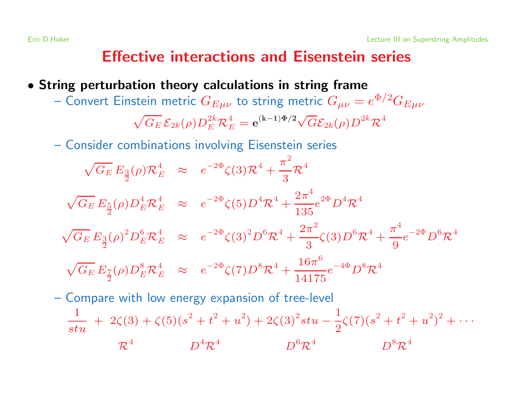### Effective interactions and Eisenstein series

- String perturbation theory calculations in string frame
	- Convert Einstein metric  $G_{E\mu\nu}$  to string metric  $G_{\mu\nu}=e^{\Phi/2}G_{E\mu\nu}$

$$
\sqrt{G_E} \mathcal{E}_{2k}(\rho) D_E^{2k} \mathcal{R}_E^4 = \mathbf{e}^{(\mathbf{k}-1)\Phi/2} \sqrt{G} \mathcal{E}_{2k}(\rho) D^{2k} \mathcal{R}^4
$$

– Consider combinations involving Eisenstein series

$$
\sqrt{G_E} E_{\frac{3}{2}}(\rho) \mathcal{R}_E^4 \approx e^{-2\Phi} \zeta(3) \mathcal{R}^4 + \frac{\pi^2}{3} \mathcal{R}^4
$$
  

$$
\sqrt{G_E} E_{\frac{5}{2}}(\rho) D_E^4 \mathcal{R}_E^4 \approx e^{-2\Phi} \zeta(5) D^4 \mathcal{R}^4 + \frac{2\pi^4}{135} e^{2\Phi} D^4 \mathcal{R}^4
$$
  

$$
\sqrt{G_E} E_{\frac{3}{2}}(\rho)^2 D_E^6 \mathcal{R}_E^4 \approx e^{-2\Phi} \zeta(3)^2 D^6 \mathcal{R}^4 + \frac{2\pi^2}{3} \zeta(3) D^6 \mathcal{R}^4 + \frac{\pi^4}{9} e^{-2\Phi} D^6 \mathcal{R}^4
$$
  

$$
\sqrt{G_E} E_{\frac{7}{2}}(\rho) D_E^8 \mathcal{R}_E^4 \approx e^{-2\Phi} \zeta(7) D^8 \mathcal{R}^4 + \frac{16\pi^6}{14175} e^{-4\Phi} D^8 \mathcal{R}^4
$$

– Compare with low energy expansion of tree-level 1  $\frac{1}{stu}\ +\ 2\zeta(3)+\zeta(5)(s^2+t^2+u^2)+2\zeta(3)^2stu-\frac{1}{2}\zeta(7)(s^2+t^2+u^2)^2+\cdots$  $R^4$   $D^4 \mathcal{R}^4$   $D^6 \mathcal{R}^4$   $D^8 \mathcal{R}^4$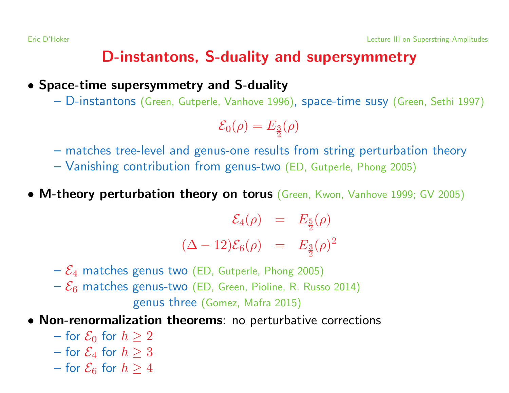## D-instantons, S-duality and supersymmetry

• Space-time supersymmetry and S-duality

– D-instantons (Green, Gutperle, Vanhove 1996), space-time susy (Green, Sethi 1997)

$$
\mathcal{E}_0(\rho)=E_{\frac{3}{2}}(\rho)
$$

- matches tree-level and genus-one results from string perturbation theory
- Vanishing contribution from genus-two (ED, Gutperle, Phong 2005)
- M-theory perturbation theory on torus (Green, Kwon, Vanhove 1999; GV 2005)

$$
\mathcal{E}_4(\rho) = E_{\frac{5}{2}}(\rho) (\Delta - 12)\mathcal{E}_6(\rho) = E_{\frac{3}{2}}(\rho)^2
$$

- $-\mathcal{E}_4$  matches genus two (ED, Gutperle, Phong 2005)
- $-\mathcal{E}_6$  matches genus-two (ED, Green, Pioline, R. Russo 2014)

genus three (Gomez, Mafra 2015)

- Non-renormalization theorems: no perturbative corrections
	- for  $\mathcal{E}_0$  for  $h > 2$
	- for  $\mathcal{E}_4$  for  $h > 3$
	- for  $\mathcal{E}_6$  for  $h > 4$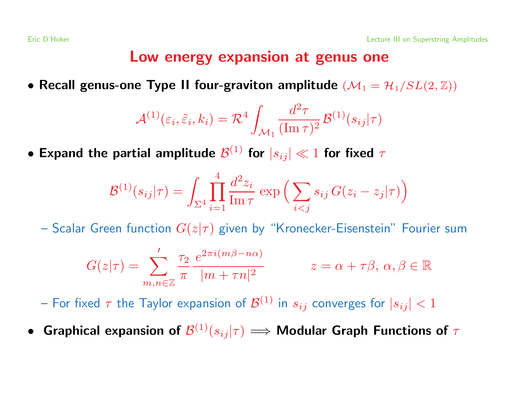### Low energy expansion at genus one

• Recall genus-one Type II four-graviton amplitude  $(\mathcal{M}_1 = \mathcal{H}_1/SL(2,\mathbb{Z}))$ 

$$
\mathcal{A}^{(1)}(\varepsilon_i, \tilde{\varepsilon}_i, k_i) = \mathcal{R}^4 \int_{\mathcal{M}_1} \frac{d^2 \tau}{(\text{Im}\,\tau)^2} \mathcal{B}^{(1)}(s_{ij}|\tau)
$$

• Expand the partial amplitude  $\mathcal{B}^{(1)}$  for  $|s_{ij}| \ll 1$  for fixed  $\tau$ 

$$
\mathcal{B}^{(1)}(s_{ij}|\tau) = \int_{\Sigma^4} \prod_{i=1}^4 \frac{d^2 z_i}{\text{Im}\,\tau} \exp\left(\sum_{i < j} s_{ij} \, G(z_i - z_j|\tau)\right)
$$

- Scalar Green function  $G(z|\tau)$  given by "Kronecker-Eisenstein" Fourier sum

$$
G(z|\tau) = \sum_{m,n \in \mathbb{Z}}' \frac{\tau_2}{\pi} \frac{e^{2\pi i(m\beta - n\alpha)}}{|m + \tau n|^2} \qquad z = \alpha + \tau \beta, \ \alpha, \beta \in \mathbb{R}
$$

– For fixed  $\tau$  the Taylor expansion of  $\mathcal{B}^{(1)}$  in  $s_{ij}$  converges for  $|s_{ij}| < 1$ 

**• Graphical expansion of**  $\mathcal{B}^{(1)}(s_{ij}|\tau) \Longrightarrow$  **Modular Graph Functions of**  $\tau$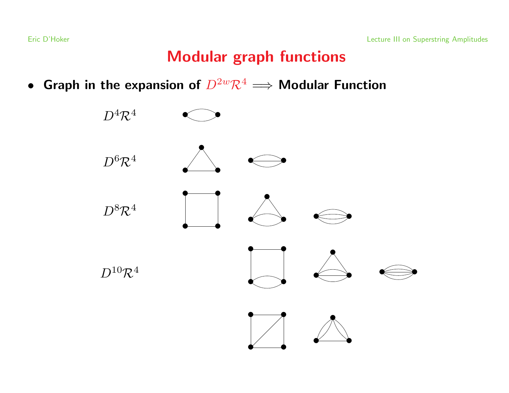## Modular graph functions

• Graph in the expansion of  $D^{2w}\mathcal{R}^4 \Longrightarrow$  Modular Function

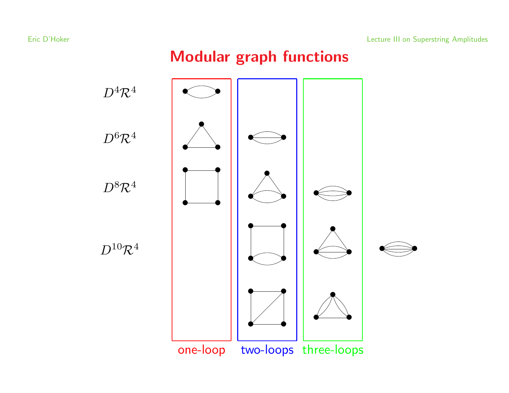## Modular graph functions

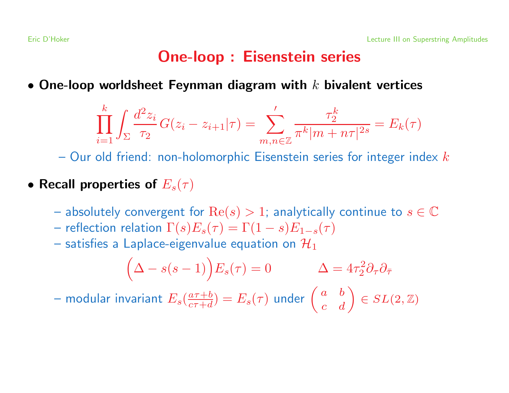## One-loop : Eisenstein series

• One-loop worldsheet Feynman diagram with  $k$  bivalent vertices

$$
\prod_{i=1}^{k} \int_{\Sigma} \frac{d^2 z_i}{\tau_2} G(z_i - z_{i+1}|\tau) = \sum_{m,n \in \mathbb{Z}}' \frac{\tau_2^k}{\pi^k |m + n\tau|^{2s}} = E_k(\tau)
$$

– Our old friend: non-holomorphic Eisenstein series for integer index  $k$ 

- Recall properties of  $E_s(\tau)$ 
	- absolutely convergent for  $\text{Re}(s) > 1$ ; analytically continue to  $s \in \mathbb{C}$
	- reflection relation  $\Gamma(s)E_s(\tau) = \Gamma(1-s)E_{1-s}(\tau)$
	- satisfies a Laplace-eigenvalue equation on  $\mathcal{H}_1$

$$
(\Delta - s(s-1))E_s(\tau) = 0 \qquad \Delta = 4\tau_2^2 \partial_\tau \partial_{\bar{\tau}}
$$

– modular invariant  $E_s(\frac{a\tau+b}{c\tau+d}) = E_s(\tau)$  under  $\begin{pmatrix} a & b \ c & d \end{pmatrix} \in SL(2,\mathbb{Z})$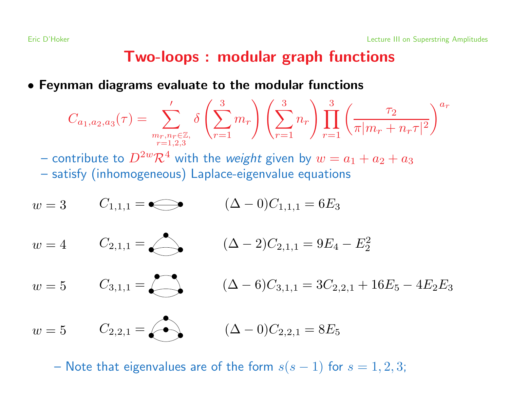## Two-loops : modular graph functions

• Feynman diagrams evaluate to the modular functions

$$
C_{a_1, a_2, a_3}(\tau) = \sum_{\substack{m_r, n_r \in \mathbb{Z}, \\ r=1, 2, 3}}' \delta\left(\sum_{r=1}^3 m_r\right) \left(\sum_{r=1}^3 n_r\right) \prod_{r=1}^3 \left(\frac{\tau_2}{\pi |m_r + n_r \tau|^2}\right)^{a_r}
$$

– contribute to  $D^{2w}\mathcal{R}^4$  with the *weight* given by  $w = a_1 + a_2 + a_3$ 

– satisfy (inhomogeneous) Laplace-eigenvalue equations

$$
w = 3 \t C_{1,1,1} = \bigodot \t (\Delta - 0)C_{1,1,1} = 6E_3
$$
  
\n
$$
w = 4 \t C_{2,1,1} = \bigodot \t (\Delta - 2)C_{2,1,1} = 9E_4 - E_2^2
$$
  
\n
$$
w = 5 \t C_{3,1,1} = \bigodot \t (\Delta - 6)C_{3,1,1} = 3C_{2,2,1} + 16E_5 - 4E_2E_3
$$
  
\n
$$
w = 5 \t C_{2,2,1} = \bigodot \t (\Delta - 0)C_{2,2,1} = 8E_5
$$

– Note that eigenvalues are of the form  $s(s - 1)$  for  $s = 1, 2, 3;$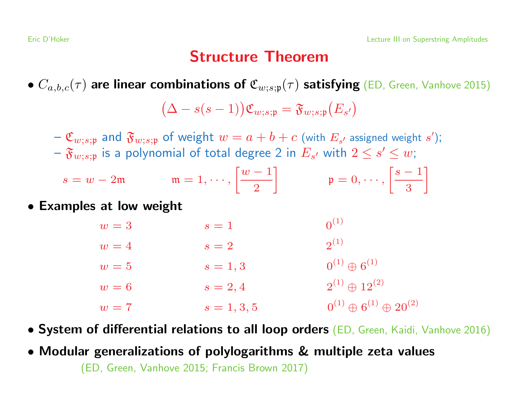### Structure Theorem

•  $C_{a,b,c}(\tau)$  are linear combinations of  $\mathfrak{C}_{w;s;\mathfrak{p}}(\tau)$  satisfying (ED, Green, Vanhove 2015)

$$
(\Delta - s(s-1))\mathfrak{C}_{w;s;\mathfrak{p}} = \mathfrak{F}_{w;s;\mathfrak{p}}(E_{s'})
$$

 $-\mathfrak{C}_{w;s;\mathfrak{p}}$  and  $\mathfrak{F}_{w;s;\mathfrak{p}}$  of weight  $w = a + b + c$  (with  $E_{s'}$  assigned weight s');  $-\mathfrak{F}_{w; s; \mathfrak{p}}$  is a polynomial of total degree 2 in  $E_{s'}$  with  $2 \leq s' \leq w;$ 

$$
s = w - 2\mathfrak{m} \qquad \qquad \mathfrak{m} = 1, \cdots, \left[\frac{w - 1}{2}\right] \qquad \qquad \mathfrak{p} = 0, \cdots, \left[\frac{s - 1}{3}\right]
$$

• Examples at low weight

| $w=3$ | $s=1$         | $0^{(1)}$                                |
|-------|---------------|------------------------------------------|
| $w=4$ | $s=2$         | $2^{(1)}$                                |
| $w=5$ | $s=1,3$       | $0^{(1)} \oplus 6^{(1)}$                 |
| $w=6$ | $s = 2, 4$    | $2^{(1)} \oplus 12^{(2)}$                |
| $w=7$ | $s = 1, 3, 5$ | $0^{(1)} \oplus 6^{(1)} \oplus 20^{(2)}$ |

- System of differential relations to all loop orders (ED, Green, Kaidi, Vanhove 2016)
- Modular generalizations of polylogarithms & multiple zeta values

(ED, Green, Vanhove 2015; Francis Brown 2017)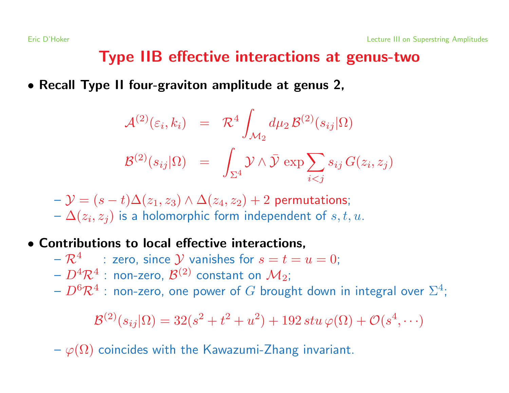## Type IIB effective interactions at genus-two

• Recall Type II four-graviton amplitude at genus 2,

$$
\mathcal{A}^{(2)}(\varepsilon_i, k_i) = \mathcal{R}^4 \int_{\mathcal{M}_2} d\mu_2 \mathcal{B}^{(2)}(s_{ij}|\Omega)
$$

$$
\mathcal{B}^{(2)}(s_{ij}|\Omega) = \int_{\Sigma^4} \mathcal{Y} \wedge \bar{\mathcal{Y}} \exp \sum_{i < j} s_{ij} G(z_i, z_j)
$$

 $\Delta(y - \mathcal{Y}) = (s - t)\Delta(z_1, z_3) \wedge \Delta(z_4, z_2) + 2$  permutations;  $-\Delta(z_i, z_i)$  is a holomorphic form independent of  $s, t, u$ .

- Contributions to local effective interactions,
	- $-\mathcal{R}^4$  : zero, since  $\mathcal Y$  vanishes for  $s=t=u=0;$
	- $D^4 \mathcal{R}^4$  : non-zero,  $\mathcal{B}^{(2)}$  constant on  $\mathcal{M}_2$ ;
	- $-D^6\mathcal{R}^4$  : non-zero, one power of G brought down in integral over  $\Sigma^4$ ;

$$
\mathcal{B}^{(2)}(s_{ij}|\Omega) = 32(s^2 + t^2 + u^2) + 192 \, stu \, \varphi(\Omega) + \mathcal{O}(s^4, \cdots)
$$

 $-\varphi(\Omega)$  coincides with the Kawazumi-Zhang invariant.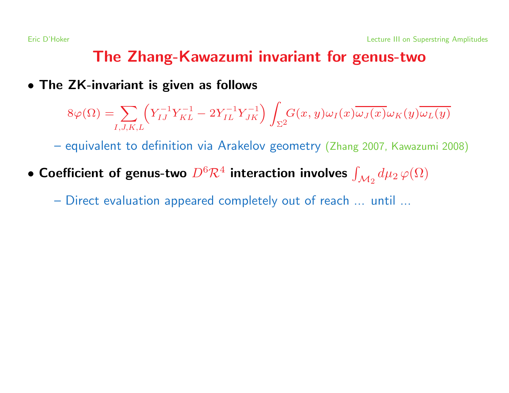## The Zhang-Kawazumi invariant for genus-two

#### • The ZK-invariant is given as follows

$$
8\varphi(\Omega) = \sum_{I,J,K,L} \left( Y_{IJ}^{-1} Y_{KL}^{-1} - 2Y_{IL}^{-1} Y_{JK}^{-1} \right) \int_{\Sigma^2} G(x,y) \omega_I(x) \overline{\omega_J(x)} \omega_K(y) \overline{\omega_L(y)}
$$

– equivalent to definition via Arakelov geometry (Zhang 2007, Kawazumi 2008)

• Coefficient of genus-two  $D^6 \mathcal{R}^4$  interaction involves  $\int_{\mathcal{M}_2} d\mu_2 \, \varphi(\Omega)$ 

– Direct evaluation appeared completely out of reach ... until ...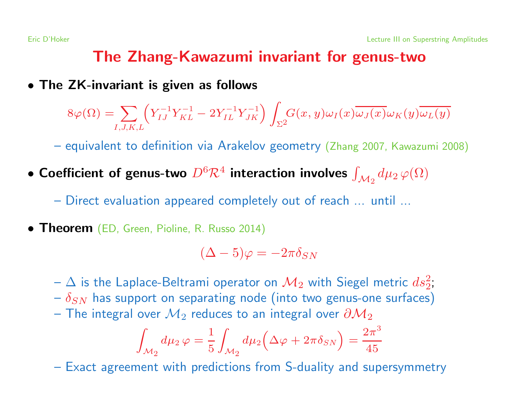## The Zhang-Kawazumi invariant for genus-two

#### • The ZK-invariant is given as follows

$$
8\varphi(\Omega) = \sum_{I,J,K,L} \left( Y_{IJ}^{-1} Y_{KL}^{-1} - 2Y_{IL}^{-1} Y_{JK}^{-1} \right) \int_{\Sigma^2} G(x,y) \omega_I(x) \overline{\omega_J(x)} \omega_K(y) \overline{\omega_L(y)}
$$

– equivalent to definition via Arakelov geometry (Zhang 2007, Kawazumi 2008)

• Coefficient of genus-two  $D^6 \mathcal{R}^4$  interaction involves  $\int_{\mathcal{M}_2} d\mu_2 \, \varphi(\Omega)$ 

– Direct evaluation appeared completely out of reach ... until ...

**• Theorem** (ED, Green, Pioline, R. Russo 2014)

$$
(\Delta - 5)\varphi = -2\pi \delta_{SN}
$$

- $-\Delta$  is the Laplace-Beltrami operator on  $\mathcal{M}_2$  with Siegel metric  $ds_2^2$ ;
- $-\delta_{SN}$  has support on separating node (into two genus-one surfaces)
- The integral over  $\mathcal{M}_2$  reduces to an integral over  $\partial \mathcal{M}_2$

$$
\int_{\mathcal{M}_2} d\mu_2 \,\varphi = \frac{1}{5} \int_{\mathcal{M}_2} d\mu_2 \left( \Delta \varphi + 2\pi \delta_{SN} \right) = \frac{2\pi^3}{45}
$$

– Exact agreement with predictions from S-duality and supersymmetry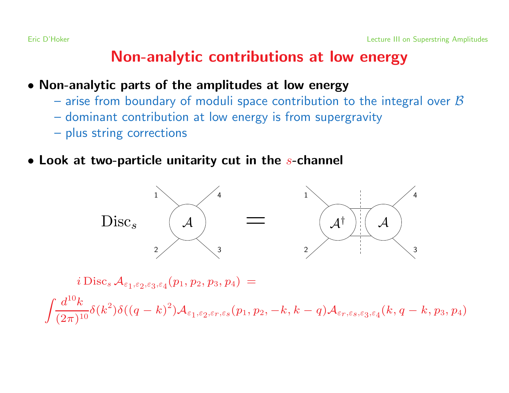## Non-analytic contributions at low energy

- Non-analytic parts of the amplitudes at low energy
	- arise from boundary of moduli space contribution to the integral over  $\beta$
	- dominant contribution at low energy is from supergravity
	- plus string corrections
- $\bullet$  Look at two-particle unitarity cut in the s-channel



 $i\, \mathrm{Disc}_s \mathcal{A}_{\varepsilon_1, \varepsilon_2, \varepsilon_3, \varepsilon_4}(p_1, p_2, p_3, p_4) =$ 

 $\int\!\!\frac{d^{10}k}{(2\pi)^{10}}\delta(k^2)\delta((q-k)^2)\mathcal{A}_{\varepsilon_1,\varepsilon_2,\varepsilon_r,\varepsilon_s}(p_1,p_2,-k,k-q)\mathcal{A}_{\varepsilon_r,\varepsilon_s,\varepsilon_3,\varepsilon_4}(k,q-k,p_3,p_4)$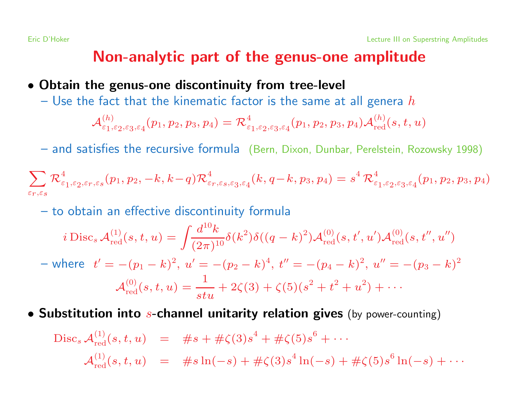## Non-analytic part of the genus-one amplitude

#### • Obtain the genus-one discontinuity from tree-level

– Use the fact that the kinematic factor is the same at all genera  $h$ 

$$
\mathcal{A}^{(h)}_{\varepsilon_1,\varepsilon_2,\varepsilon_3,\varepsilon_4}(p_1,p_2,p_3,p_4)=\mathcal{R}^4_{\varepsilon_1,\varepsilon_2,\varepsilon_3,\varepsilon_4}(p_1,p_2,p_3,p_4)\mathcal{A}^{(h)}_{\mathrm{red}}(s,t,u)
$$

– and satisfies the recursive formula (Bern, Dixon, Dunbar, Perelstein, Rozowsky 1998)

$$
\sum_{\varepsilon_r,\varepsilon_S} {\mathcal R}^4_{\varepsilon_1,\varepsilon_2,\varepsilon_r,\varepsilon_S}(p_1,p_2,-k,k\!-\!q) {\mathcal R}^4_{\varepsilon_r,\varepsilon_S,\varepsilon_3,\varepsilon_4}(k,q\!-\!k,p_3,p_4) = s^4\, {\mathcal R}^4_{\varepsilon_1,\varepsilon_2,\varepsilon_3,\varepsilon_4}(p_1,p_2,p_3,p_4)
$$

– to obtain an effective discontinuity formula

$$
i \operatorname{Disc}_s \mathcal{A}_{\text{red}}^{(1)}(s, t, u) = \int \frac{d^{10}k}{(2\pi)^{10}} \delta(k^2) \delta((q-k)^2) \mathcal{A}_{\text{red}}^{(0)}(s, t', u') \mathcal{A}_{\text{red}}^{(0)}(s, t'', u'')
$$
  
\n
$$
\text{where} \quad t' = -(p_1 - k)^2, \ u' = -(p_2 - k)^4, \ t'' = -(p_4 - k)^2, \ u'' = -(p_3 - k)^2
$$
  
\n
$$
\mathcal{A}_{\text{red}}^{(0)}(s, t, u) = \frac{1}{stu} + 2\zeta(3) + \zeta(5)(s^2 + t^2 + u^2) + \cdots
$$

• Substitution into  $s$ -channel unitarity relation gives (by power-counting)

$$
Disc_s \mathcal{A}_{red}^{(1)}(s, t, u) = \#s + \# \zeta(3) s^4 + \# \zeta(5) s^6 + \cdots
$$
  

$$
\mathcal{A}_{red}^{(1)}(s, t, u) = \#s \ln(-s) + \# \zeta(3) s^4 \ln(-s) + \# \zeta(5) s^6 \ln(-s) + \cdots
$$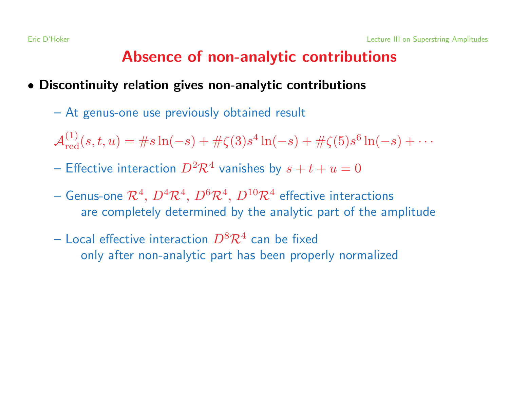## Absence of non-analytic contributions

- Discontinuity relation gives non-analytic contributions
	- At genus-one use previously obtained result
	- $\mathcal{A}_{\text{rod}}^{(1)}(s, t, u) = \#s \ln(-s) + \# \zeta(3) s^4 \ln(-s) + \# \zeta(5) s^6 \ln(-s) + \cdots$
	- Effective interaction  $D^2 \mathcal{R}^4$  vanishes by  $s + t + u = 0$
	- Genus-one  $\mathcal{R}^4$ ,  $D^4\mathcal{R}^4$ ,  $D^6\mathcal{R}^4$ ,  $D^{10}\mathcal{R}^4$  effective interactions are completely determined by the analytic part of the amplitude
	- Local effective interaction  $D^8 \mathcal{R}^4$  can be fixed only after non-analytic part has been properly normalized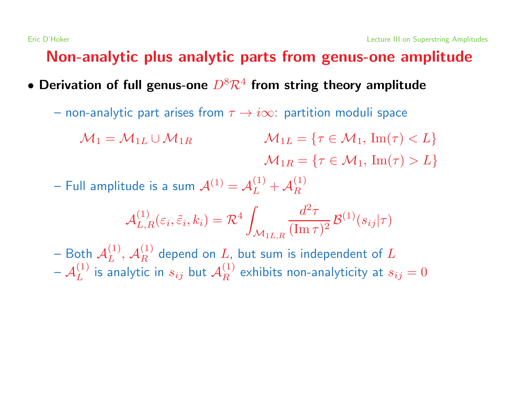## Non-analytic plus analytic parts from genus-one amplitude

- Derivation of full genus-one  $D^8 \mathcal{R}^4$  from string theory amplitude
	- non-analytic part arises from  $\tau \rightarrow i\infty$ : partition moduli space
		- $M_1 = M_{1L} \cup M_{1R}$   $M_{1L} = \{ \tau \in \mathcal{M}_1, \, \text{Im}(\tau) < L \}$  $\mathcal{M}_{1R} = \{ \tau \in \mathcal{M}_1, \, \text{Im}(\tau) > L \}$
	- Full amplitude is a sum  $\mathcal{A}^{(1)} = \mathcal{A}_L^{(1)} + \mathcal{A}_R^{(1)}$

$$
\mathcal{A}_{L,R}^{(1)}(\varepsilon_i, \tilde{\varepsilon}_i, k_i) = \mathcal{R}^4 \int_{\mathcal{M}_{1L,R}} \frac{d^2 \tau}{(\text{Im}\,\tau)^2} \mathcal{B}^{(1)}(s_{ij}|\tau)
$$

– Both  $\mathcal{A}_L^{(1)}$ ,  $\mathcal{A}_R^{(1)}$  depend on L, but sum is independent of L  $-\mathcal{A}_L^{(1)}$  is analytic in  $s_{ij}$  but  $\mathcal{A}_R^{(1)}$  exhibits non-analyticity at  $s_{ij} = 0$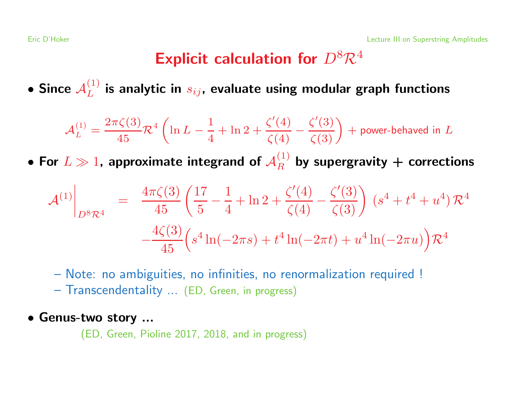## Explicit calculation for  $D^8 \mathcal{R}^4$

• Since  $\mathcal{A}_L^{(1)}$  is analytic in  $s_{ij}$ , evaluate using modular graph functions

$$
\mathcal{A}_L^{(1)} = \frac{2\pi\zeta(3)}{45}\mathcal{R}^4 \left( \ln L - \frac{1}{4} + \ln 2 + \frac{\zeta'(4)}{\zeta(4)} - \frac{\zeta'(3)}{\zeta(3)} \right) + \text{power-behaved in } L
$$

• For  $L \gg 1$ , approximate integrand of  $\mathcal{A}_R^{(1)}$  by supergravity + corrections

$$
\mathcal{A}^{(1)}\Big|_{D^8\mathcal{R}^4} = \frac{4\pi\zeta(3)}{45} \left( \frac{17}{5} - \frac{1}{4} + \ln 2 + \frac{\zeta'(4)}{\zeta(4)} - \frac{\zeta'(3)}{\zeta(3)} \right) \left( s^4 + t^4 + u^4 \right) \mathcal{R}^4
$$

$$
- \frac{4\zeta(3)}{45} \left( s^4 \ln(-2\pi s) + t^4 \ln(-2\pi t) + u^4 \ln(-2\pi u) \right) \mathcal{R}^4
$$

– Note: no ambiguities, no infinities, no renormalization required !

– Transcendentality ... (ED, Green, in progress)

#### • Genus-two story ...

(ED, Green, Pioline 2017, 2018, and in progress)